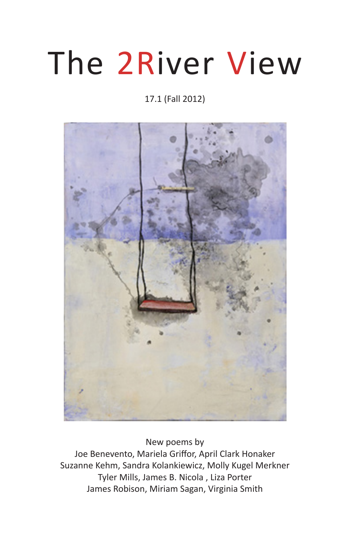# The 2River View

# 17.1 (Fall 2012)



New poems by Joe Benevento, Mariela Griffor, April Clark Honaker Suzanne Kehm, Sandra Kolankiewicz, Molly Kugel Merkner Tyler Mills, James B. Nicola , Liza Porter James Robison, Miriam Sagan, Virginia Smith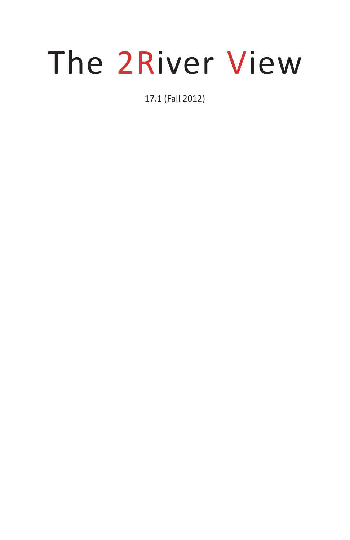# The 2River View

17.1 (Fall 2012)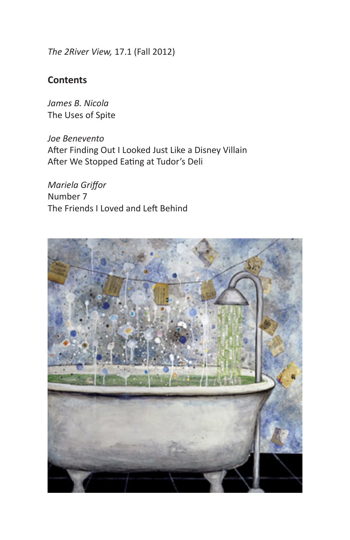*The 2River View,* 17.1 (Fall 2012)

## **Contents**

*James B. Nicola* The Uses of Spite

*Joe Benevento* After Finding Out I Looked Just Like a Disney Villain After We Stopped Eating at Tudor's Deli

*Mariela Griffor* Number 7 The Friends I Loved and Left Behind

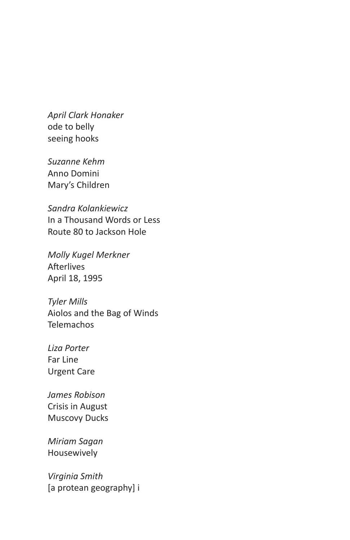*April Clark Honaker* ode to belly seeing hooks

*Suzanne Kehm* Anno Domini Mary's Children

*Sandra Kolankiewicz* In a Thousand Words or Less Route 80 to Jackson Hole

*Molly Kugel Merkner* Afterlives April 18, 1995

*Tyler Mills* Aiolos and the Bag of Winds **Telemachos** 

*Liza Porter* Far Line Urgent Care

*James Robison* Crisis in August Muscovy Ducks

*Miriam Sagan* Housewively

*Virginia Smith* [a protean geography] i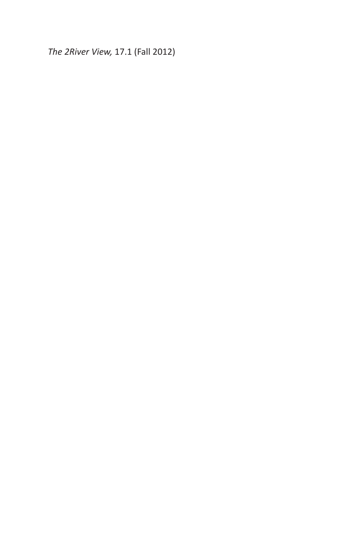*The 2River View,* 17.1 (Fall 2012)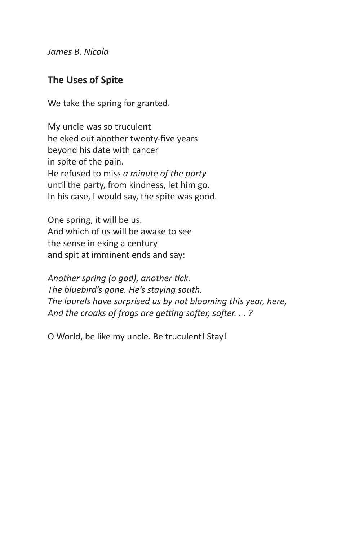*James B. Nicola*

#### **The Uses of Spite**

We take the spring for granted.

My uncle was so truculent he eked out another twenty-five years beyond his date with cancer in spite of the pain. He refused to miss *a minute of the party* until the party, from kindness, let him go. In his case, I would say, the spite was good.

One spring, it will be us. And which of us will be awake to see the sense in eking a century and spit at imminent ends and say:

*Another spring (o god), another tick. The bluebird's gone. He's staying south. The laurels have surprised us by not blooming this year, here, And the croaks of frogs are getting softer, softer. . . ?*

O World, be like my uncle. Be truculent! Stay!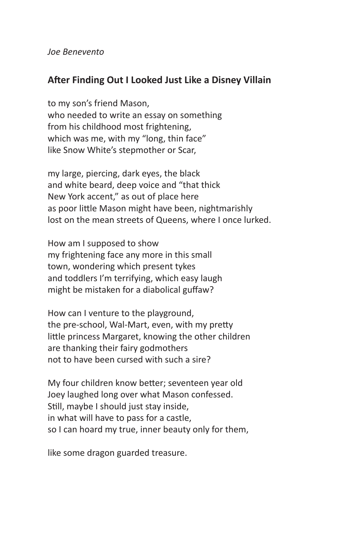*Joe Benevento*

## **After Finding Out I Looked Just Like a Disney Villain**

to my son's friend Mason, who needed to write an essay on something from his childhood most frightening, which was me, with my "long, thin face" like Snow White's stepmother or Scar,

my large, piercing, dark eyes, the black and white beard, deep voice and "that thick New York accent," as out of place here as poor little Mason might have been, nightmarishly lost on the mean streets of Queens, where I once lurked.

How am I supposed to show my frightening face any more in this small town, wondering which present tykes and toddlers I'm terrifying, which easy laugh might be mistaken for a diabolical guffaw?

How can I venture to the playground, the pre-school, Wal-Mart, even, with my pretty little princess Margaret, knowing the other children are thanking their fairy godmothers not to have been cursed with such a sire?

My four children know better; seventeen year old Joey laughed long over what Mason confessed. Still, maybe I should just stay inside, in what will have to pass for a castle, so I can hoard my true, inner beauty only for them,

like some dragon guarded treasure.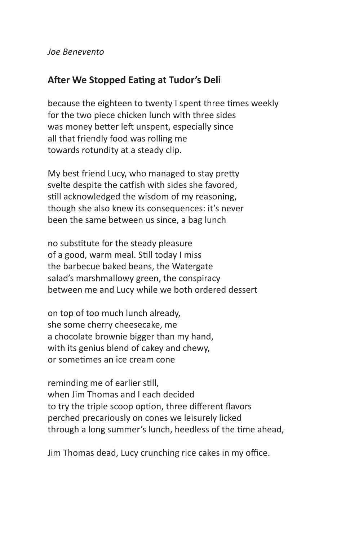*Joe Benevento*

# **After We Stopped Eating at Tudor's Deli**

because the eighteen to twenty I spent three times weekly for the two piece chicken lunch with three sides was money better left unspent, especially since all that friendly food was rolling me towards rotundity at a steady clip.

My best friend Lucy, who managed to stay pretty svelte despite the catfish with sides she favored, still acknowledged the wisdom of my reasoning, though she also knew its consequences: it's never been the same between us since, a bag lunch

no substitute for the steady pleasure of a good, warm meal. Still today I miss the barbecue baked beans, the Watergate salad's marshmallowy green, the conspiracy between me and Lucy while we both ordered dessert

on top of too much lunch already, she some cherry cheesecake, me a chocolate brownie bigger than my hand, with its genius blend of cakey and chewy, or sometimes an ice cream cone

reminding me of earlier still, when Jim Thomas and I each decided to try the triple scoop option, three different flavors perched precariously on cones we leisurely licked through a long summer's lunch, heedless of the time ahead,

Jim Thomas dead, Lucy crunching rice cakes in my office.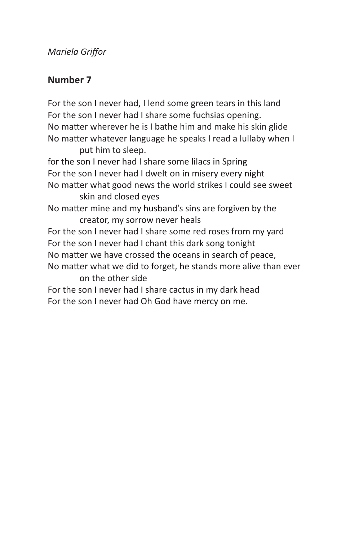#### *Mariela Griffor*

## **Number 7**

For the son I never had, I lend some green tears in this land For the son I never had I share some fuchsias opening. No matter wherever he is I bathe him and make his skin glide No matter whatever language he speaks I read a lullaby when I put him to sleep.

for the son I never had I share some lilacs in Spring For the son I never had I dwelt on in misery every night No matter what good news the world strikes I could see sweet skin and closed eyes No matter mine and my husband's sins are forgiven by the creator, my sorrow never heals For the son I never had I share some red roses from my yard For the son I never had I chant this dark song tonight No matter we have crossed the oceans in search of peace, No matter what we did to forget, he stands more alive than ever on the other side For the son I never had I share cactus in my dark head For the son I never had Oh God have mercy on me.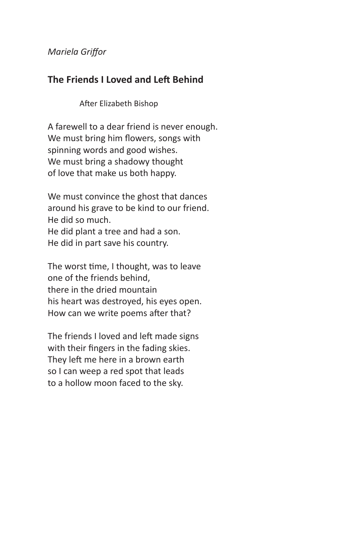#### *Mariela Griffor*

#### **The Friends I Loved and Left Behind**

After Elizabeth Bishop

A farewell to a dear friend is never enough. We must bring him flowers, songs with spinning words and good wishes. We must bring a shadowy thought of love that make us both happy.

We must convince the ghost that dances around his grave to be kind to our friend. He did so much. He did plant a tree and had a son. He did in part save his country.

The worst time, I thought, was to leave one of the friends behind, there in the dried mountain his heart was destroyed, his eyes open. How can we write poems after that?

The friends I loved and left made signs with their fingers in the fading skies. They left me here in a brown earth so I can weep a red spot that leads to a hollow moon faced to the sky.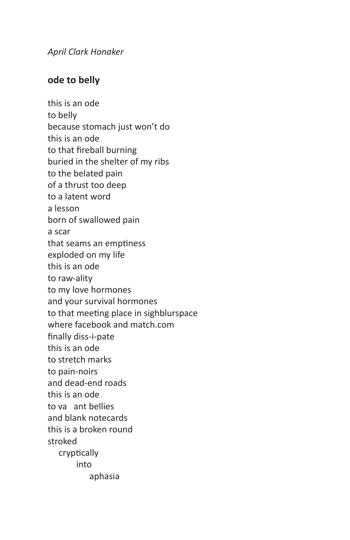*April Clark Honaker*

# **ode to belly**

this is an ode to belly because stomach just won't do this is an ode to that fireball burning buried in the shelter of my ribs to the belated pain of a thrust too deep to a latent word a lesson born of swallowed pain a scar that seams an emptiness exploded on my life this is an ode to raw-ality to my love hormones and your survival hormones to that meeting place in sighblurspace where facebook and match.com finally diss-i-pate this is an ode to stretch marks to pain-noirs and dead-end roads this is an ode to va ant bellies and blank notecards this is a broken round stroked cryptically into aphasia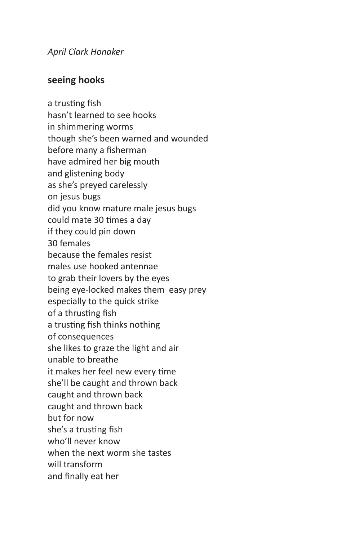*April Clark Honaker*

## **seeing hooks**

a trusting fish hasn't learned to see hooks in shimmering worms though she's been warned and wounded before many a fisherman have admired her big mouth and glistening body as she's preyed carelessly on jesus bugs did you know mature male jesus bugs could mate 30 times a day if they could pin down 30 females because the females resist males use hooked antennae to grab their lovers by the eyes being eye-locked makes them easy prey especially to the quick strike of a thrusting fish a trusting fish thinks nothing of consequences she likes to graze the light and air unable to breathe it makes her feel new every time she'll be caught and thrown back caught and thrown back caught and thrown back but for now she's a trusting fish who'll never know when the next worm she tastes will transform and finally eat her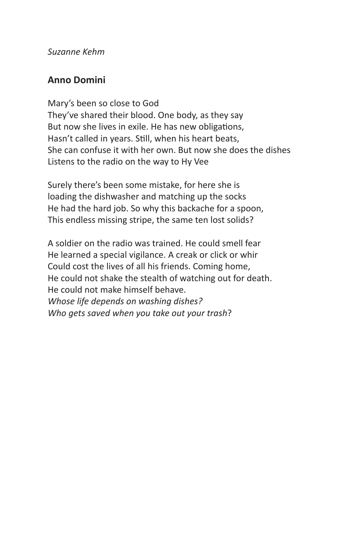#### *Suzanne Kehm*

## **Anno Domini**

Mary's been so close to God They've shared their blood. One body, as they say But now she lives in exile. He has new obligations, Hasn't called in years. Still, when his heart beats, She can confuse it with her own. But now she does the dishes Listens to the radio on the way to Hy Vee

Surely there's been some mistake, for here she is loading the dishwasher and matching up the socks He had the hard job. So why this backache for a spoon, This endless missing stripe, the same ten lost solids?

A soldier on the radio was trained. He could smell fear He learned a special vigilance. A creak or click or whir Could cost the lives of all his friends. Coming home, He could not shake the stealth of watching out for death. He could not make himself behave. *Whose life depends on washing dishes? Who gets saved when you take out your trash*?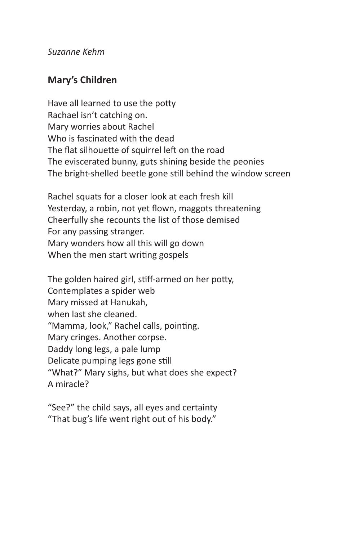#### *Suzanne Kehm*

# **Mary's Children**

Have all learned to use the potty Rachael isn't catching on. Mary worries about Rachel Who is fascinated with the dead The flat silhouette of squirrel left on the road The eviscerated bunny, guts shining beside the peonies The bright-shelled beetle gone still behind the window screen

Rachel squats for a closer look at each fresh kill Yesterday, a robin, not yet flown, maggots threatening Cheerfully she recounts the list of those demised For any passing stranger. Mary wonders how all this will go down When the men start writing gospels

The golden haired girl, stiff-armed on her potty, Contemplates a spider web Mary missed at Hanukah, when last she cleaned. "Mamma, look," Rachel calls, pointing. Mary cringes. Another corpse. Daddy long legs, a pale lump Delicate pumping legs gone still "What?" Mary sighs, but what does she expect? A miracle?

"See?" the child says, all eyes and certainty "That bug's life went right out of his body."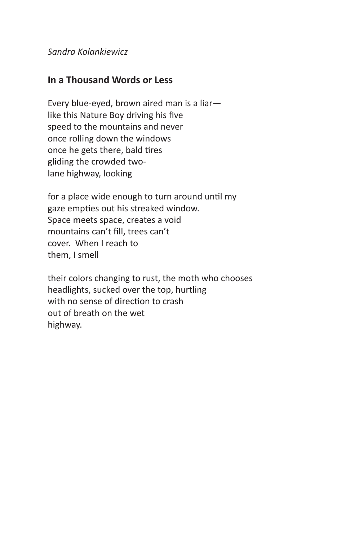*Sandra Kolankiewicz*

#### **In a Thousand Words or Less**

Every blue-eyed, brown aired man is a liar like this Nature Boy driving his five speed to the mountains and never once rolling down the windows once he gets there, bald tires gliding the crowded twolane highway, looking

for a place wide enough to turn around until my gaze empties out his streaked window. Space meets space, creates a void mountains can't fill, trees can't cover. When I reach to them, I smell

their colors changing to rust, the moth who chooses headlights, sucked over the top, hurtling with no sense of direction to crash out of breath on the wet highway.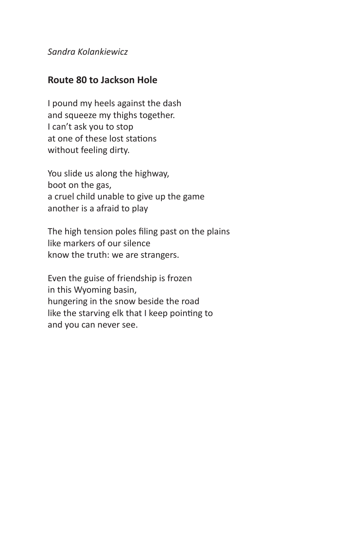*Sandra Kolankiewicz*

#### **Route 80 to Jackson Hole**

I pound my heels against the dash and squeeze my thighs together. I can't ask you to stop at one of these lost stations without feeling dirty.

You slide us along the highway, boot on the gas, a cruel child unable to give up the game another is a afraid to play

The high tension poles filing past on the plains like markers of our silence know the truth: we are strangers.

Even the guise of friendship is frozen in this Wyoming basin, hungering in the snow beside the road like the starving elk that I keep pointing to and you can never see.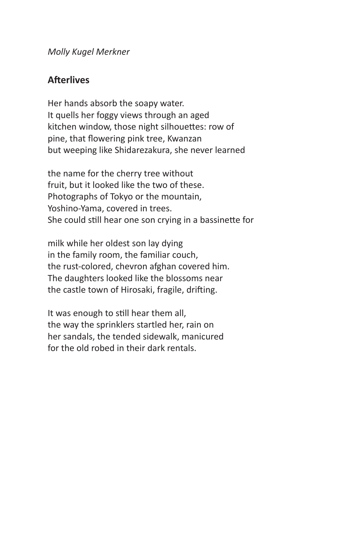*Molly Kugel Merkner*

#### **Afterlives**

Her hands absorb the soapy water. It quells her foggy views through an aged kitchen window, those night silhouettes: row of pine, that flowering pink tree, Kwanzan but weeping like Shidarezakura, she never learned

the name for the cherry tree without fruit, but it looked like the two of these. Photographs of Tokyo or the mountain, Yoshino-Yama, covered in trees. She could still hear one son crying in a bassinette for

milk while her oldest son lay dying in the family room, the familiar couch, the rust-colored, chevron afghan covered him. The daughters looked like the blossoms near the castle town of Hirosaki, fragile, drifting.

It was enough to still hear them all, the way the sprinklers startled her, rain on her sandals, the tended sidewalk, manicured for the old robed in their dark rentals.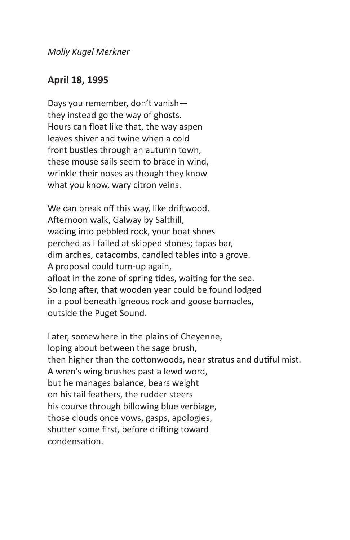*Molly Kugel Merkner*

#### **April 18, 1995**

Days you remember, don't vanish they instead go the way of ghosts. Hours can float like that, the way aspen leaves shiver and twine when a cold front bustles through an autumn town, these mouse sails seem to brace in wind, wrinkle their noses as though they know what you know, wary citron veins.

We can break off this way, like driftwood. Afternoon walk, Galway by Salthill, wading into pebbled rock, your boat shoes perched as I failed at skipped stones; tapas bar, dim arches, catacombs, candled tables into a grove. A proposal could turn-up again, afloat in the zone of spring tides, waiting for the sea. So long after, that wooden year could be found lodged in a pool beneath igneous rock and goose barnacles, outside the Puget Sound.

Later, somewhere in the plains of Cheyenne, loping about between the sage brush, then higher than the cottonwoods, near stratus and dutiful mist. A wren's wing brushes past a lewd word, but he manages balance, bears weight on his tail feathers, the rudder steers his course through billowing blue verbiage, those clouds once vows, gasps, apologies, shutter some first, before drifting toward condensation.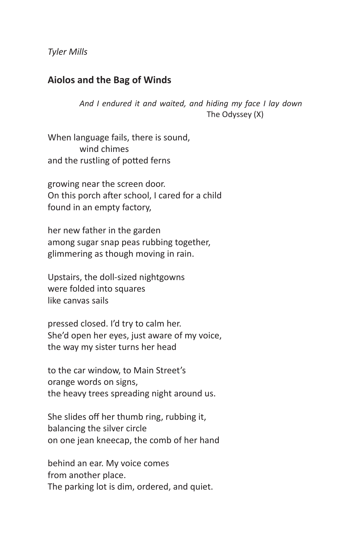*Tyler Mills*

#### **Aiolos and the Bag of Winds**

*And I endured it and waited, and hiding my face I lay down* The Odyssey (X)

When language fails, there is sound, wind chimes and the rustling of potted ferns

growing near the screen door. On this porch after school, I cared for a child found in an empty factory,

her new father in the garden among sugar snap peas rubbing together, glimmering as though moving in rain.

Upstairs, the doll-sized nightgowns were folded into squares like canvas sails

pressed closed. I'd try to calm her. She'd open her eyes, just aware of my voice, the way my sister turns her head

to the car window, to Main Street's orange words on signs, the heavy trees spreading night around us.

She slides off her thumb ring, rubbing it, balancing the silver circle on one jean kneecap, the comb of her hand

behind an ear. My voice comes from another place. The parking lot is dim, ordered, and quiet.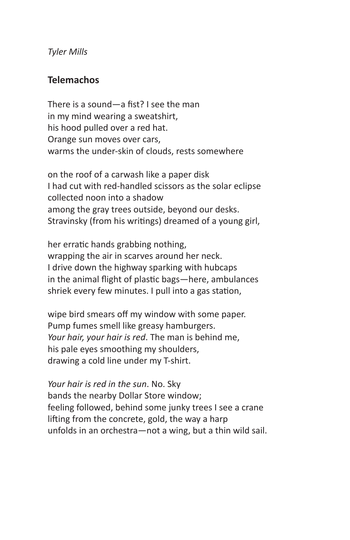*Tyler Mills*

#### **Telemachos**

There is a sound—a fist? I see the man in my mind wearing a sweatshirt, his hood pulled over a red hat. Orange sun moves over cars, warms the under-skin of clouds, rests somewhere

on the roof of a carwash like a paper disk I had cut with red-handled scissors as the solar eclipse collected noon into a shadow among the gray trees outside, beyond our desks. Stravinsky (from his writings) dreamed of a young girl,

her erratic hands grabbing nothing, wrapping the air in scarves around her neck. I drive down the highway sparking with hubcaps in the animal flight of plastic bags—here, ambulances shriek every few minutes. I pull into a gas station,

wipe bird smears off my window with some paper. Pump fumes smell like greasy hamburgers. *Your hair, your hair is red*. The man is behind me, his pale eyes smoothing my shoulders, drawing a cold line under my T-shirt.

*Your hair is red in the sun*. No. Sky bands the nearby Dollar Store window; feeling followed, behind some junky trees I see a crane lifting from the concrete, gold, the way a harp unfolds in an orchestra—not a wing, but a thin wild sail.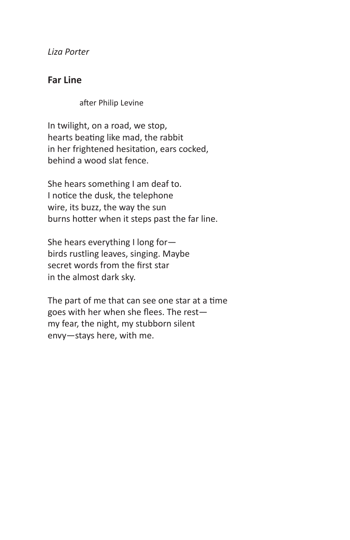*Liza Porter*

#### **Far Line**

after Philip Levine

In twilight, on a road, we stop, hearts beating like mad, the rabbit in her frightened hesitation, ears cocked, behind a wood slat fence.

She hears something I am deaf to. I notice the dusk, the telephone wire, its buzz, the way the sun burns hotter when it steps past the far line.

She hears everything I long for birds rustling leaves, singing. Maybe secret words from the first star in the almost dark sky.

The part of me that can see one star at a time goes with her when she flees. The rest my fear, the night, my stubborn silent envy—stays here, with me.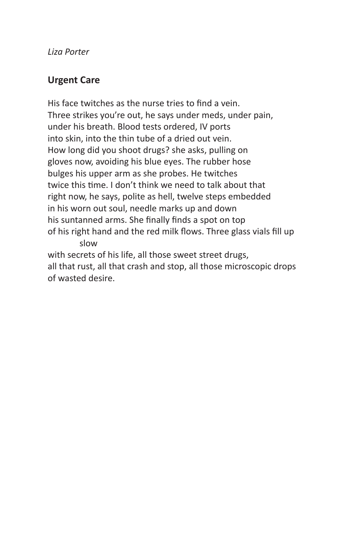*Liza Porter*

# **Urgent Care**

His face twitches as the nurse tries to find a vein. Three strikes you're out, he says under meds, under pain, under his breath. Blood tests ordered, IV ports into skin, into the thin tube of a dried out vein. How long did you shoot drugs? she asks, pulling on gloves now, avoiding his blue eyes. The rubber hose bulges his upper arm as she probes. He twitches twice this time. I don't think we need to talk about that right now, he says, polite as hell, twelve steps embedded in his worn out soul, needle marks up and down his suntanned arms. She finally finds a spot on top of his right hand and the red milk flows. Three glass vials fill up slow

with secrets of his life, all those sweet street drugs, all that rust, all that crash and stop, all those microscopic drops of wasted desire.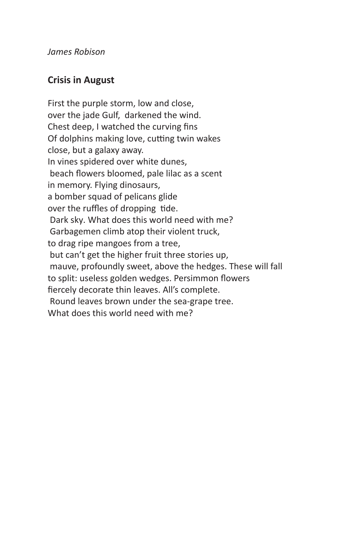*James Robison*

# **Crisis in August**

First the purple storm, low and close, over the jade Gulf, darkened the wind. Chest deep, I watched the curving fins Of dolphins making love, cutting twin wakes close, but a galaxy away. In vines spidered over white dunes, beach flowers bloomed, pale lilac as a scent in memory. Flying dinosaurs, a bomber squad of pelicans glide over the ruffles of dropping tide. Dark sky. What does this world need with me? Garbagemen climb atop their violent truck, to drag ripe mangoes from a tree, but can't get the higher fruit three stories up, mauve, profoundly sweet, above the hedges. These will fall to split: useless golden wedges. Persimmon flowers fiercely decorate thin leaves. All's complete. Round leaves brown under the sea-grape tree. What does this world need with me?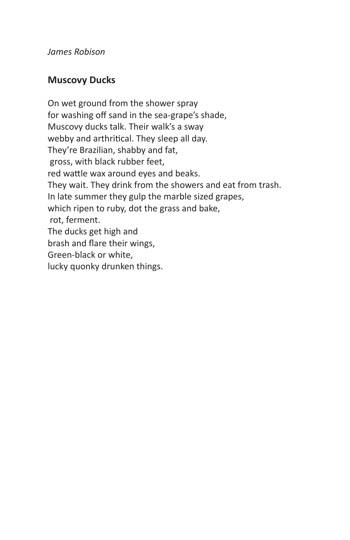*James Robison*

# **Muscovy Ducks**

On wet ground from the shower spray for washing off sand in the sea-grape's shade, Muscovy ducks talk. Their walk's a sway webby and arthritical. They sleep all day. They're Brazilian, shabby and fat, gross, with black rubber feet, red wattle wax around eyes and beaks. They wait. They drink from the showers and eat from trash. In late summer they gulp the marble sized grapes, which ripen to ruby, dot the grass and bake, rot, ferment. The ducks get high and brash and flare their wings, Green-black or white, lucky quonky drunken things.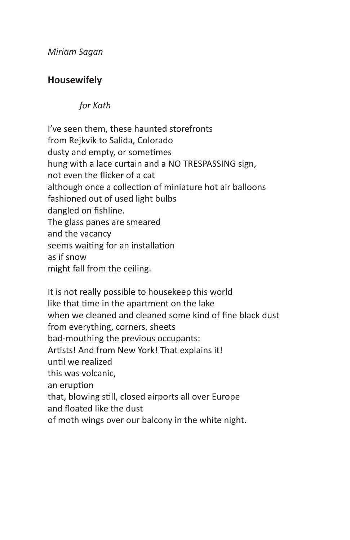*Miriam Sagan*

# **Housewifely**

## *for Kath*

I've seen them, these haunted storefronts from Rejkvik to Salida, Colorado dusty and empty, or sometimes hung with a lace curtain and a NO TRESPASSING sign, not even the flicker of a cat although once a collection of miniature hot air balloons fashioned out of used light bulbs dangled on fishline. The glass panes are smeared and the vacancy seems waiting for an installation as if snow might fall from the ceiling.

It is not really possible to housekeep this world like that time in the apartment on the lake when we cleaned and cleaned some kind of fine black dust from everything, corners, sheets bad-mouthing the previous occupants: Artists! And from New York! That explains it! until we realized this was volcanic, an eruption that, blowing still, closed airports all over Europe and floated like the dust of moth wings over our balcony in the white night.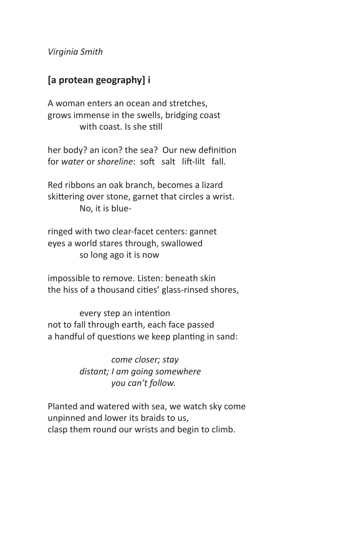*Virginia Smith*

# **[a protean geography] i**

A woman enters an ocean and stretches, grows immense in the swells, bridging coast with coast. Is she still

her body? an icon? the sea? Our new definition for *water* or *shoreline*: soft salt lift-lilt fall.

Red ribbons an oak branch, becomes a lizard skittering over stone, garnet that circles a wrist. No, it is blue-

ringed with two clear-facet centers: gannet eyes a world stares through, swallowed so long ago it is now

impossible to remove. Listen: beneath skin the hiss of a thousand cities' glass-rinsed shores,

every step an intention not to fall through earth, each face passed a handful of questions we keep planting in sand:

> *come closer; stay distant; I am going somewhere you can't follow.*

Planted and watered with sea, we watch sky come unpinned and lower its braids to us, clasp them round our wrists and begin to climb.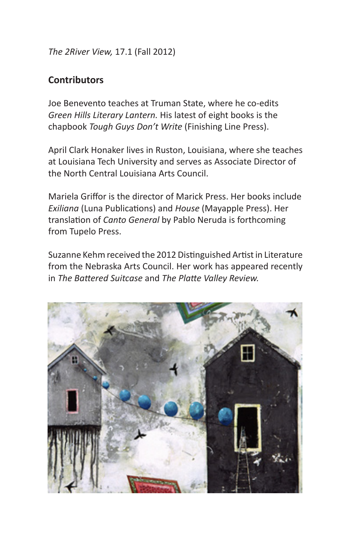*The 2River View,* 17.1 (Fall 2012)

# **Contributors**

Joe Benevento teaches at Truman State, where he co-edits *Green Hills Literary Lantern.* His latest of eight books is the chapbook *Tough Guys Don't Write* (Finishing Line Press).

April Clark Honaker lives in Ruston, Louisiana, where she teaches at Louisiana Tech University and serves as Associate Director of the North Central Louisiana Arts Council.

Mariela Griffor is the director of Marick Press. Her books include *Exiliana* (Luna Publications) and *House* (Mayapple Press). Her translation of *Canto General* by Pablo Neruda is forthcoming from Tupelo Press.

Suzanne Kehm received the 2012 Distinguished Artist in Literature from the Nebraska Arts Council. Her work has appeared recently in *The Battered Suitcase* and *The Platte Valley Review.*

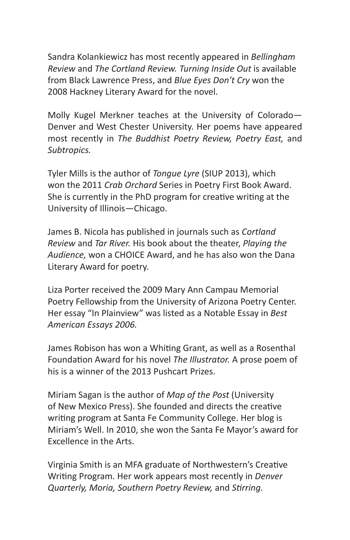Sandra Kolankiewicz has most recently appeared in *Bellingham Review* and *The Cortland Review. Turning Inside Out* is available from Black Lawrence Press, and *Blue Eyes Don't Cry* won the 2008 Hackney Literary Award for the novel.

Molly Kugel Merkner teaches at the University of Colorado— Denver and West Chester University. Her poems have appeared most recently in *The Buddhist Poetry Review, Poetry East,* and *Subtropics.*

Tyler Mills is the author of *Tongue Lyre* (SIUP 2013), which won the 2011 *Crab Orchard* Series in Poetry First Book Award. She is currently in the PhD program for creative writing at the University of Illinois—Chicago.

James B. Nicola has published in journals such as *Cortland Review* and *Tar River.* His book about the theater, *Playing the Audience,* won a CHOICE Award, and he has also won the Dana Literary Award for poetry.

Liza Porter received the 2009 Mary Ann Campau Memorial Poetry Fellowship from the University of Arizona Poetry Center. Her essay "In Plainview" was listed as a Notable Essay in *Best American Essays 2006.*

James Robison has won a Whiting Grant, as well as a Rosenthal Foundation Award for his novel *The Illustrator.* A prose poem of his is a winner of the 2013 Pushcart Prizes.

Miriam Sagan is the author of *Map of the Post* (University of New Mexico Press). She founded and directs the creative writing program at Santa Fe Community College. Her blog is Miriam's Well. In 2010, she won the Santa Fe Mayor's award for Excellence in the Arts.

Virginia Smith is an MFA graduate of Northwestern's Creative Writing Program. Her work appears most recently in *Denver Quarterly, Moria, Southern Poetry Review,* and *Stirring.*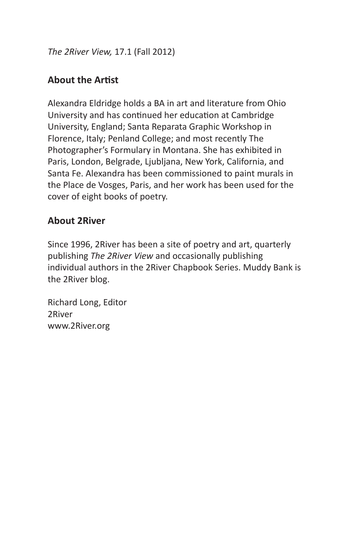*The 2River View,* 17.1 (Fall 2012)

# **About the Artist**

Alexandra Eldridge holds a BA in art and literature from Ohio University and has continued her education at Cambridge University, England; Santa Reparata Graphic Workshop in Florence, Italy; Penland College; and most recently The Photographer's Formulary in Montana. She has exhibited in Paris, London, Belgrade, Ljubljana, New York, California, and Santa Fe. Alexandra has been commissioned to paint murals in the Place de Vosges, Paris, and her work has been used for the cover of eight books of poetry.

## **About 2River**

Since 1996, 2River has been a site of poetry and art, quarterly publishing *The 2River View* and occasionally publishing individual authors in the 2River Chapbook Series. Muddy Bank is the 2River blog.

Richard Long, Editor 2River www.2River.org